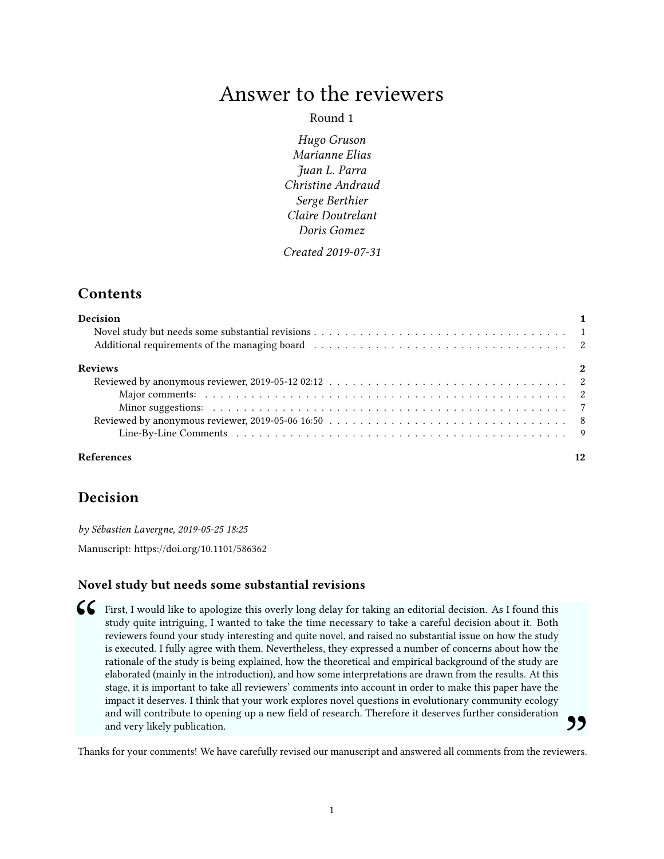# Answer to the reviewers

### Round 1

Hugo Gruson Marianne Elias Juan L. Parra Christine Andraud Serge Berthier Claire Doutrelant Doris Gomez

Created 2019-07-31

# **Contents**

| <b>Decision</b> |  |  |  |  |  |  |  |  |
|-----------------|--|--|--|--|--|--|--|--|
|                 |  |  |  |  |  |  |  |  |
|                 |  |  |  |  |  |  |  |  |
| <b>Reviews</b>  |  |  |  |  |  |  |  |  |
|                 |  |  |  |  |  |  |  |  |
|                 |  |  |  |  |  |  |  |  |
|                 |  |  |  |  |  |  |  |  |
|                 |  |  |  |  |  |  |  |  |
|                 |  |  |  |  |  |  |  |  |

# [References](#page-11-0) 12

# <span id="page-0-0"></span>Decision

by Sébastien Lavergne, 2019-05-25 18:25

Manuscript:<https://doi.org/10.1101/586362>

### <span id="page-0-1"></span>Novel study but needs some substantial revisions

**Example 1** First, I would like to apologize this overly long delay for taking an editorial decision. As I found this study quite intriguing, I wanted to take the time necessary to take a careful decision about it. Both re study quite intriguing, I wanted to take the time necessary to take a careful decision about it. Both reviewers found your study interesting and quite novel, and raised no substantial issue on how the study is executed. I fully agree with them. Nevertheless, they expressed a number of concerns about how the rationale of the study is being explained, how the theoretical and empirical background of the study are elaborated (mainly in the introduction), and how some interpretations are drawn from the results. At this stage, it is important to take all reviewers' comments into account in order to make this paper have the impact it deserves. I think that your work explores novel questions in evolutionary community ecology and will contribute to opening up a new field of research. Therefore it deserves further consideration and very likely publication.

Thanks for your comments! We have carefully revised our manuscript and answered all comments from the reviewers.  $"$ <br>wers.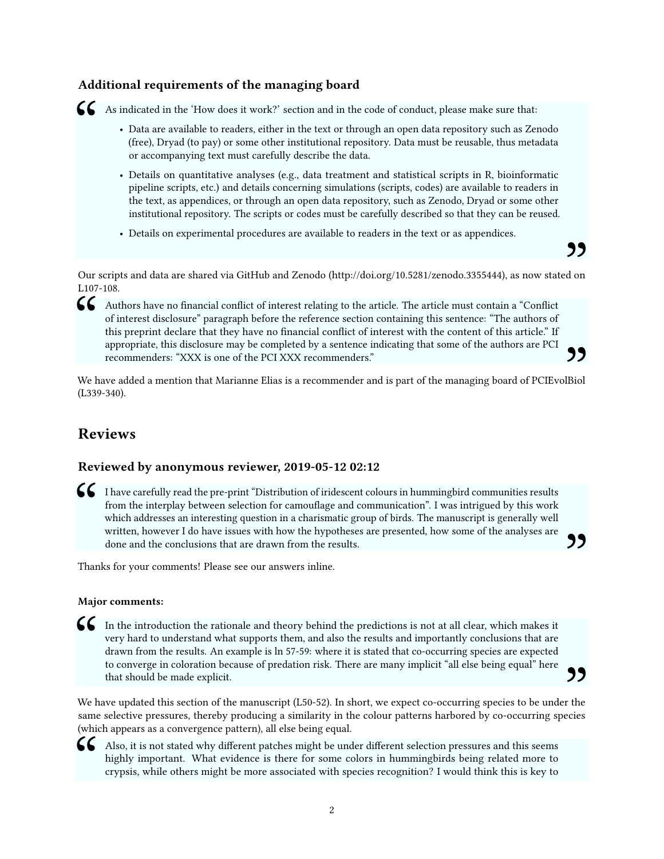## <span id="page-1-0"></span>Additional requirements of the managing board



- As indicated in the 'How does it work?' section and in the code of conduct, please make sure that:<br>• Data are available to readers, either in the text or through an open data repository such as Ze (free), Dryad (to pay) • Data are available to readers, either in the text or through an open data repository such as Zenodo (free), Dryad (to pay) or some other institutional repository. Data must be reusable, thus metadata or accompanying text must carefully describe the data.
	- Details on quantitative analyses (e.g., data treatment and statistical scripts in R, bioinformatic pipeline scripts, etc.) and details concerning simulations (scripts, codes) are available to readers in the text, as appendices, or through an open data repository, such as Zenodo, Dryad or some other institutional repository. The scripts or codes must be carefully described so that they can be reused.

"

77

• Details on experimental procedures are available to readers in the text or as appendices.

Our scripts and data are shared via GitHub and Zenodo [\(http://doi.org/10.5281/zenodo.3355444\)](http://doi.org/10.5281/zenodo.3355444), as now stated on L107-108.

Authors have no financial conflict of interest relating to the article. The article must contain a "Conflict of interest disclosure" paragraph before the reference section containing this sentence: "The authors of this pre of interest disclosure" paragraph before the reference section containing this sentence: "The authors of this preprint declare that they have no financial conflict of interest with the content of this article." If appropriate, this disclosure may be completed by a sentence indicating that some of the authors are PCI recommenders: "XXX is one of the PCI XXX recommenders."

We have added a mention that Marianne Elias is a recommender and is part of the managing board of PCIEvolBiol (L339-340). "

# <span id="page-1-1"></span>Reviews

### <span id="page-1-2"></span>Reviewed by anonymous reviewer, 2019-05-12 02:12

I have carefully read the pre-print "Distribution of iridescent colours in hummingbird communities results from the interplay between selection for camouflage and communication". I was intrigued by this work which addresse from the interplay between selection for camouflage and communication". I was intrigued by this work which addresses an interesting question in a charismatic group of birds. The manuscript is generally well written, however I do have issues with how the hypotheses are presented, how some of the analyses are done and the conclusions that are drawn from the results.

Thanks for your comments! Please see our answers inline.

### <span id="page-1-3"></span>Major comments:

In the introduction the rationale and theory behind the predictions is not at all clear, which makes it very hard to understand what supports them, and also the results and importantly conclusions that are drawn from the r very hard to understand what supports them, and also the results and importantly conclusions that are drawn from the results. An example is ln 57-59: where it is stated that co-occurring species are expected to converge in coloration because of predation risk. There are many implicit "all else being equal" here that should be made explicit.

We have updated this section of the manuscript (L50-52). In short, we expect co-occurring species to be under the same selective pressures, thereby producing a similarity in the colour patterns harbored by co-occurring species  $99$ <br>r the ecies (which appears as a convergence pattern), all else being equal.



Also, it is not stated why different patches might be under different selection pressures and this seems highly important. What evidence is there for some colors in hummingbirds being related more to crypsis, while others highly important. What evidence is there for some colors in hummingbirds being related more to crypsis, while others might be more associated with species recognition? I would think this is key to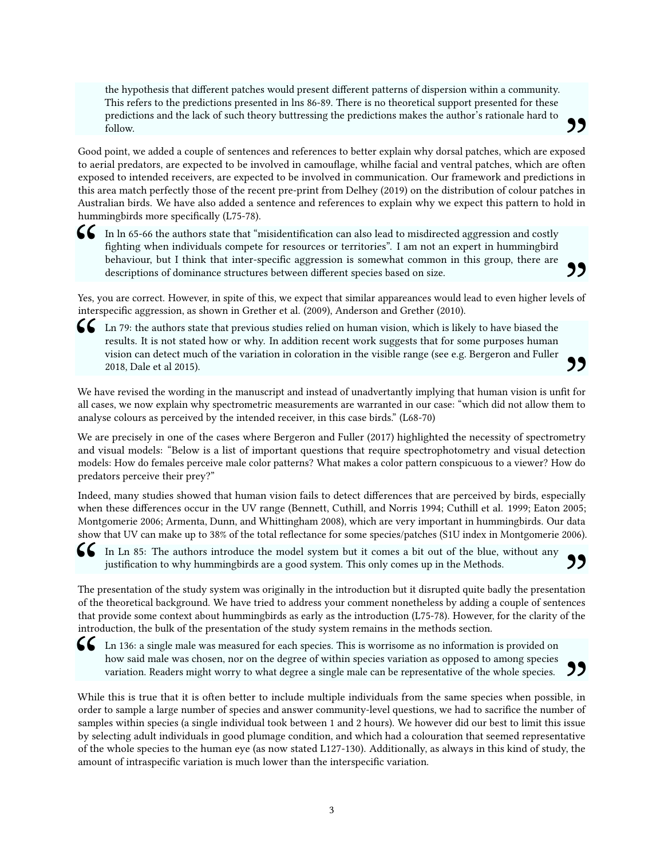the hypothesis that different patches would present different patterns of dispersion within a community. This refers to the predictions presented in lns 86-89. There is no theoretical support presented for these predictions and the lack of such theory buttressing the predictions makes the author's rationale hard to follow.

Good point, we added a couple of sentences and references to better explain why dorsal patches, which are exposed to aerial predators, are expected to be involved in camouflage, whilhe facial and ventral patches, which are often **99**<br>
osed<br>
often<br>
ms in exposed to intended receivers, are expected to be involved in communication. Our framework and predictions in this area match perfectly those of the recent pre-print from Delhey (2019) on the distribution of colour patches in Australian birds. We have also added a sentence and references to explain why we expect this pattern to hold in hummingbirds more specifically (L75-78).

In ln 65-66 the authors state that "misidentification can also lead to misdirected aggression and costly fighting when individuals compete for resources or territories". I am not an expert in hummingbird behaviour, but I t ghting when individuals compete for resources or territories". I am not an expert in hummingbird behaviour, but I think that inter-specific aggression is somewhat common in this group, there are descriptions of dominance structures between different species based on size. 99

Yes, you are correct. However, in spite of this, we expect that similar appareances would lead to even higher levels of interspecific aggression, as shown in Grether et al. (2009), Anderson and Grether (2010).



**6** Ln 79: the authors state that previous studies relied on human vision, which is likely to have biased the results. It is not stated how or why. In addition recent work suggests that for some purposes human vision can d results. It is not stated how or why. In addition recent work suggests that for some purposes human vision can detect much of the variation in coloration in the visible range (see e.g. Bergeron and Fuller 2018, Dale et al 2015).

We have revised the wording in the manuscript and instead of unadvertantly implying that human vision is unfit for all cases, we now explain why spectrometric measurements are warranted in our case: "which did not allow them to<br>analyze colours as perceived by the intended receiver in this case birds" (1.68-70). analyse colours as perceived by the intended receiver, in this case birds." (L68-70)

We are precisely in one of the cases where Bergeron and Fuller (2017) highlighted the necessity of spectrometry and visual models: "Below is a list of important questions that require spectrophotometry and visual detection models: How do females perceive male color patterns? What makes a color pattern conspicuous to a viewer? How do predators perceive their prey?"

Indeed, many studies showed that human vision fails to detect differences that are perceived by birds, especially when these differences occur in the UV range (Bennett, Cuthill, and Norris 1994; Cuthill et al. 1999; Eaton 2005; Montgomerie 2006; Armenta, Dunn, and Whittingham 2008), which are very important in hummingbirds. Our data show that UV can make up to 38% of the total reflectance for some species/patches (S1U index in Montgomerie 2006).

In Ln 85: The authors introduce the model system but it comes a bit out of the blue, without any justification to why hummingbirds are a good system. This only comes up in the Methods.

G In Ln 85: The authors introduce the model system but it comes a bit out of the blue, without any<br>
justification to why hummingbirds are a good system. This only comes up in the Methods.<br>
The presentation of the study sy The presentation of the study system was originally in the introduction but it disrupted quite badly the presentation that provide some context about hummingbirds as early as the introduction (L75-78). However, for the clarity of the introduction, the bulk of the presentation of the study system remains in the methods section.

**CC** Ln 136: a single male was measured for each species. This is worrisome as no information is provided on how said male was chosen, nor on the degree of within species variation as opposed to among species variation. Re Ln 136: a single male was measured for each species. This is worrisome as no information is provided on how said male was chosen, nor on the degree of within species variation as opposed to among species variation. Readers might worry to what degree a single male can be representative of the whole species.

order to sample a large number of species and answer community-level questions, we had to sacrifice the number of 99<br>
e, in<br>
er of samples within species (a single individual took between 1 and 2 hours). We however did our best to limit this issue by selecting adult individuals in good plumage condition, and which had a colouration that seemed representative of the whole species to the human eye (as now stated L127-130). Additionally, as always in this kind of study, the amount of intraspecific variation is much lower than the interspecific variation.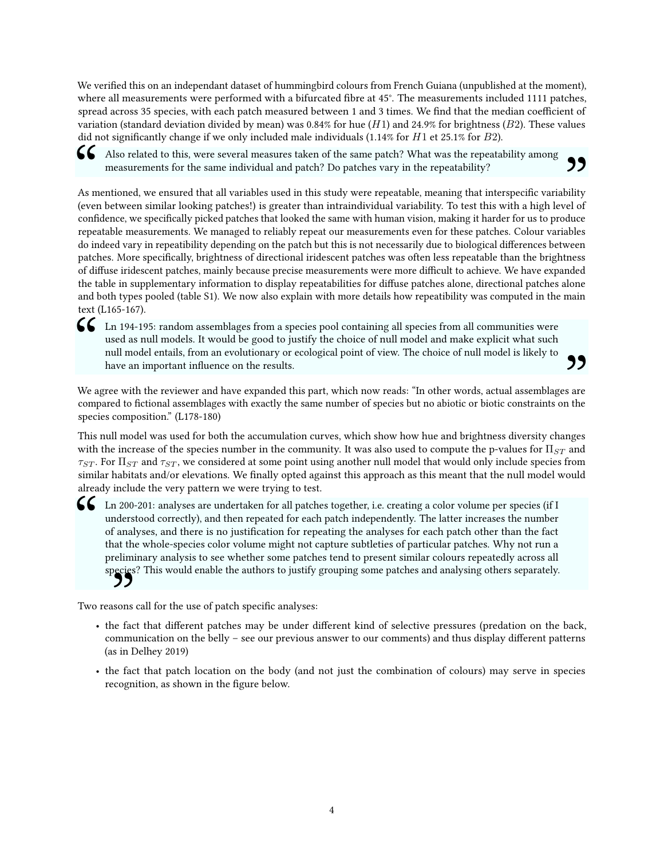We verified this on an independant dataset of hummingbird colours from French Guiana (unpublished at the moment), where all measurements were performed with a bifurcated fibre at 45°. The measurements included 1111 patches, spread across 35 species, with each patch measured between 1 and 3 times. We find that the median coefficient of variation (standard deviation divided by mean) was 0.84% for hue (*H*1) and 24.9% for brightness (*B*2). These values did not signicantly change if we only included male individuals (1.14% for *H*1 et 25.1% for *B*2).

Also related to this, were several measures taken of the same patch? What was the repeatability among measurements for the same individual and patch? Do patches vary in the repeatability?<br>As mentioned, we ensured that all measurements for the same individual and patch? Do patches vary in the repeatability?

As mentioned, we ensured that all variables used in this study were repeatable, meaning that interspecific variability (even between similar looking patches!) is greater than intraindividual variability. To test this with a high level of **99**<br>bility<br>el of confidence, we specifically picked patches that looked the same with human vision, making it harder for us to produce repeatable measurements. We managed to reliably repeat our measurements even for these patches. Colour variables do indeed vary in repeatibility depending on the patch but this is not necessarily due to biological differences between patches. More specifically, brightness of directional iridescent patches was often less repeatable than the brightness of diffuse iridescent patches, mainly because precise measurements were more difficult to achieve. We have expanded the table in supplementary information to display repeatabilities for diffuse patches alone, directional patches alone and both types pooled (table S1). We now also explain with more details how repeatibility was computed in the main text (L165-167).

**6** Ln 194-195: random assemblages from a species pool containing all species from all communities were used as null models. It would be good to justify the choice of null model and make explicit what such null model entai used as null models. It would be good to justify the choice of null model and make explicit what such null model entails, from an evolutionary or ecological point of view. The choice of null model is likely to have an important influence on the results.

We agree with the reviewer and have expanded this part, which now reads: "In other words, actual assemblages are compared to fictional assemblages with exactly the same number of species but no abiotic or biotic constraints on the  $99$ <br>s are<br>n the species composition." (L178-180)

This null model was used for both the accumulation curves, which show how hue and brightness diversity changes with the increase of the species number in the community. It was also used to compute the p-values for Π*ST* and *τST* . For Π*ST* and *τST* , we considered at some point using another null model that would only include species from similar habitats and/or elevations. We finally opted against this approach as this meant that the null model would already include the very pattern we were trying to test.

In 200-201: analyses are undertaken for all patches together, i.e. creating a color volume per species (if I understood correctly), and then repeated for each patch independently. The latter increases the number of analyse understood correctly), and then repeated for each patch independently. The latter increases the number of analyses, and there is no justification for repeating the analyses for each patch other than the fact that the whole-species color volume might not capture subtleties of particular patches. Why not run a preliminary analysis to see whether some patches tend to present similar colours repeatedly across all species? This would enable the authors to justify grouping some patches and analysing others separately.

Two reasons call for the use of patch specific analyses:

- reasons call for the use of patch specific analyses:<br>
 the fact that different patches may be under different kind of selective pressures (predation on the back, communication on the belly – see our previous answer to our comments) and thus display different patterns (as in Delhey 2019)
- the fact that patch location on the body (and not just the combination of colours) may serve in species recognition, as shown in the figure below.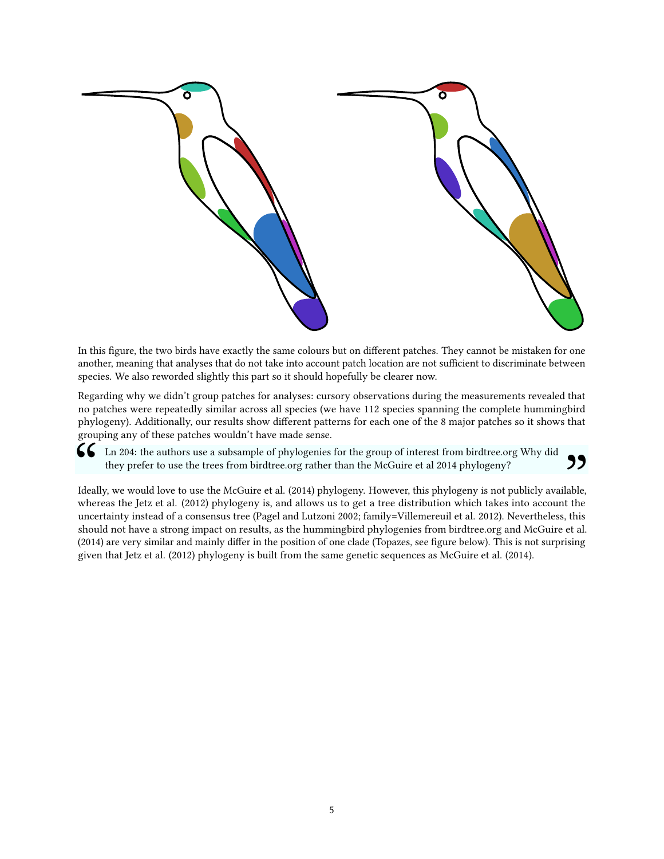

In this figure, the two birds have exactly the same colours but on different patches. They cannot be mistaken for one another, meaning that analyses that do not take into account patch location are not sufficient to discriminate between species. We also reworded slightly this part so it should hopefully be clearer now.

Regarding why we didn't group patches for analyses: cursory observations during the measurements revealed that no patches were repeatedly similar across all species (we have 112 species spanning the complete hummingbird phylogeny). Additionally, our results show different patterns for each one of the 8 major patches so it shows that grouping any of these patches wouldn't have made sense.

Ln 204: the authors use a subsample of phylogenies for the group of interest from birdtree.org Why did<br>they prefer to use the trees from birdtree.org rather than the McGuire et al 2014 phylogeny?<br>Ideally, we would love to they prefer to use the trees from birdtree.org rather than the McGuire et al 2014 phylogeny?

whereas the Jetz et al. (2012) phylogeny is, and allows us to get a tree distribution which takes into account the Ideally, we would love to use the McGuire et al. (2014) phylogeny. However, this phylogeny is not publicly available, " uncertainty instead of a consensus tree (Pagel and Lutzoni 2002; family=Villemereuil et al. 2012). Nevertheless, this should not have a strong impact on results, as the hummingbird phylogenies from birdtree.org and McGuire et al. (2014) are very similar and mainly differ in the position of one clade (Topazes, see figure below). This is not surprising given that Jetz et al. (2012) phylogeny is built from the same genetic sequences as McGuire et al. (2014).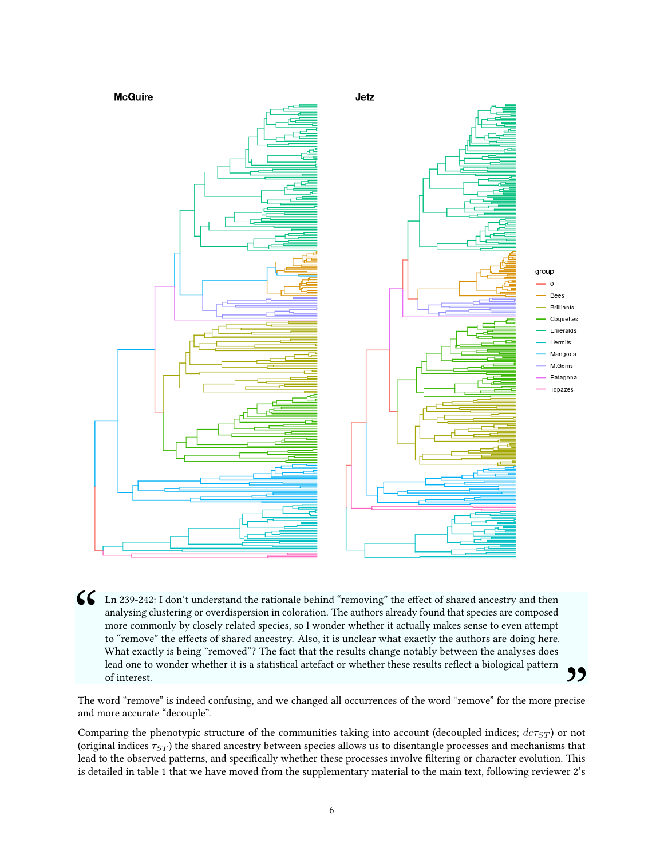

In 239-242: I don't understand the rationale behind "removing" the effect of shared ancestry and then analysing clustering or overdispersion in coloration. The authors already found that species are composed more commonly analysing clustering or overdispersion in coloration. The authors already found that species are composed more commonly by closely related species, so I wonder whether it actually makes sense to even attempt to "remove" the effects of shared ancestry. Also, it is unclear what exactly the authors are doing here. What exactly is being "removed"? The fact that the results change notably between the analyses does lead one to wonder whether it is a statistical artefact or whether these results reflect a biological pattern of interest.

The word "remove" is indeed confusing, and we changed all occurrences of the word "remove" for the more precise and more accurate "decouple". **99**<br>ecise

Comparing the phenotypic structure of the communities taking into account (decoupled indices; *dcτST* ) or not (original indices *τST* ) the shared ancestry between species allows us to disentangle processes and mechanisms that lead to the observed patterns, and specifically whether these processes involve filtering or character evolution. This is detailed in table 1 that we have moved from the supplementary material to the main text, following reviewer 2's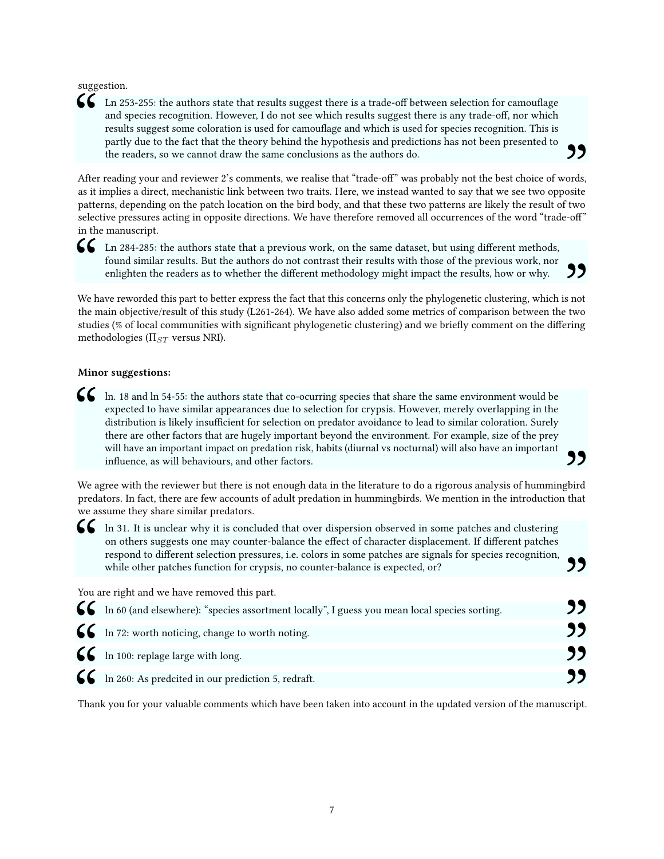suggestion.

"<br>"<br>" Ln 253-255: the authors state that results suggest there is a trade-off between selection for camouflage and species recognition. However, I do not see which results suggest there is any trade-off, nor which results suggest some coloration is used for camouflage and which is used for species recognition. This is partly due to the fact that the theory behind the hypothesis and predictions has not been presented to the readers, so we cannot draw the same conclusions as the authors do.

After reading your and reviewer 2's comments, we realise that "trade-off" was probably not the best choice of words, as it implies a direct, mechanistic link between two traits. Here, we instead wanted to say that we see two opposite  $\frac{99}{\omega}$  ords, osite patterns, depending on the patch location on the bird body, and that these two patterns are likely the result of two selective pressures acting in opposite directions. We have therefore removed all occurrences of the word "trade-off" in the manuscript.

In 284-285: the authors state that a previous work, on the same dataset, but using different methods, found similar results. But the authors do not contrast their results with those of the previous work, nor enlighten the found similar results. But the authors do not contrast their results with those of the previous work, nor enlighten the readers as to whether the different methodology might impact the results, how or why.

We have reworded this part to better express the fact that this concerns only the phylogenetic clustering, which is not the main objective/result of this study (L261-264). We have also added some metrics of comparison between the two  $\frac{99}{\frac{1}{200}}$ studies (% of local communities with significant phylogenetic clustering) and we briefly comment on the differing methodologies (Π*ST* versus NRI).

#### <span id="page-6-0"></span>Minor suggestions:

In. 18 and ln 54-55: the authors state that co-ocurring species that share the same environment would be expected to have similar appearances due to selection for crypsis. However, merely overlapping in the distribution is expected to have similar appearances due to selection for crypsis. However, merely overlapping in the distribution is likely insufficient for selection on predator avoidance to lead to similar coloration. Surely there are other factors that are hugely important beyond the environment. For example, size of the prey will have an important impact on predation risk, habits (diurnal vs nocturnal) will also have an important influence, as will behaviours, and other factors.

We agree with the reviewer but there is not enough data in the literature to do a rigorous analysis of hummingbird predators. In fact, there are few accounts of adult predation in hummingbirds. We mention in the introduction that we assume they share similar predators.

,,

In 31. It is unclear why it is concluded that over dispersion observed in some patches and clustering on others suggests one may counter-balance the effect of character displacement. If different patches respond to differe on others suggests one may counter-balance the effect of character displacement. If different patches respond to different selection pressures, i.e. colors in some patches are signals for species recognition, while other patches function for crypsis, no counter-balance is expected, or?

| respond to unterent selection pressures, i.e. colors in some patches are signals for species recognition,<br>while other patches function for crypsis, no counter-balance is expected, or? | כל |
|--------------------------------------------------------------------------------------------------------------------------------------------------------------------------------------------|----|
| You are right and we have removed this part.                                                                                                                                               |    |
| 66 In 60 (and elsewhere): "species assortment locally", I guess you mean local species sorting.                                                                                            | "  |
| $\left\{\right\}$ In 72: worth noticing, change to worth noting.                                                                                                                           | "  |
| $\mathbf{C}$ In 100: replage large with long.                                                                                                                                              | "  |
| 66 In 260: As predcited in our prediction 5, redraft.                                                                                                                                      | "  |
| Thank you for your valuable comments which have been taken into account in the updated version of the manuscript.                                                                          |    |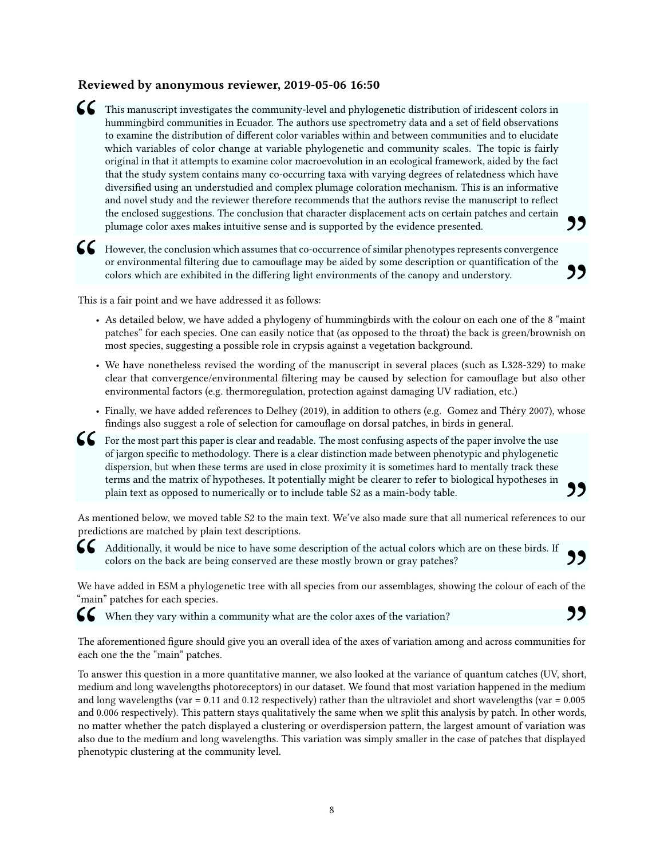### <span id="page-7-0"></span>Reviewed by anonymous reviewer, 2019-05-06 16:50

This manuscript investigates the community-level and phylogenetic distribution of iridescent colors in hummingbird communities in Ecuador. The authors use spectrometry data and a set of field observations to examine the di hummingbird communities in Ecuador. The authors use spectrometry data and a set of field observations to examine the distribution of different color variables within and between communities and to elucidate which variables of color change at variable phylogenetic and community scales. The topic is fairly original in that it attempts to examine color macroevolution in an ecological framework, aided by the fact that the study system contains many co-occurring taxa with varying degrees of relatedness which have diversied using an understudied and complex plumage coloration mechanism. This is an informative and novel study and the reviewer therefore recommends that the authors revise the manuscript to reflect the enclosed suggestions. The conclusion that character displacement acts on certain patches and certain

plumage color axes makes intuitive sense and is supported by the evidence presented.<br>
However, the conclusion which assumes that co-occurrence of similar phenotypes represents convergence<br>
or environmental filtering due to G However, the conclusion which assumes that co-occurrence of similar phenotypes represents convergence or environmental filtering due to camouflage may be aided by some description or quantification of the colors which ar or environmental filtering due to camouflage may be aided by some description or quantification of the colors which are exhibited in the differing light environments of the canopy and understory. the colors which are exhibited in the differing light environments of the canopy and understory.<br>
So is a fair point and we have addressed it as follows:<br>
As detailed below, we have added a phylogeny of hummingbirds with t

This is a fair point and we have addressed it as follows:

- patches" for each species. One can easily notice that (as opposed to the throat) the back is green/brownish on most species, suggesting a possible role in crypsis against a vegetation background.
- We have nonetheless revised the wording of the manuscript in several places (such as L328-329) to make clear that convergence/environmental filtering may be caused by selection for camouflage but also other environmental factors (e.g. thermoregulation, protection against damaging UV radiation, etc.)
- Finally, we have added references to Delhey (2019), in addition to others (e.g. Gomez and Théry 2007), whose findings also suggest a role of selection for camouflage on dorsal patches, in birds in general.
- **for** the most part this paper is clear and readable. The most confusing aspects of the paper involve the use of jargon specific to methodology. There is a clear distinction made between phenotypic and phylogenetic dispers of jargon specific to methodology. There is a clear distinction made between phenotypic and phylogenetic dispersion, but when these terms are used in close proximity it is sometimes hard to mentally track these terms and the matrix of hypotheses. It potentially might be clearer to refer to biological hypotheses in plain text as opposed to numerically or to include table S2 as a main-body table.

As mentioned below, we moved table S2 to the main text. We've also made sure that all numerical references to our predictions are matched by plain text descriptions.  $"$ 

Additionally, it would be nice to have some description of the actual colors which are on these birds. If colors on the back are being conserved are these mostly brown or gray patches?

**66** Additionally, it would be solors on the back are bei<br>We have added in ESM a phylog "main" patches for each species. We have added in ESM a phylogenetic tree with all species from our assemblages, showing the colour of each of the 99<br>f the<br>99

When they vary within a community what are the color axes of the variation?

 $\begin{matrix} 66 \\ 7 \end{matrix}$  The ach The aforementioned figure should give you an overall idea of the axes of variation among and across communities for each one the the "main" patches. "

To answer this question in a more quantitative manner, we also looked at the variance of quantum catches (UV, short, medium and long wavelengths photoreceptors) in our dataset. We found that most variation happened in the medium and long wavelengths (var  $= 0.11$  and 0.12 respectively) rather than the ultraviolet and short wavelengths (var  $= 0.005$ and 0.006 respectively). This pattern stays qualitatively the same when we split this analysis by patch. In other words, no matter whether the patch displayed a clustering or overdispersion pattern, the largest amount of variation was also due to the medium and long wavelengths. This variation was simply smaller in the case of patches that displayed phenotypic clustering at the community level.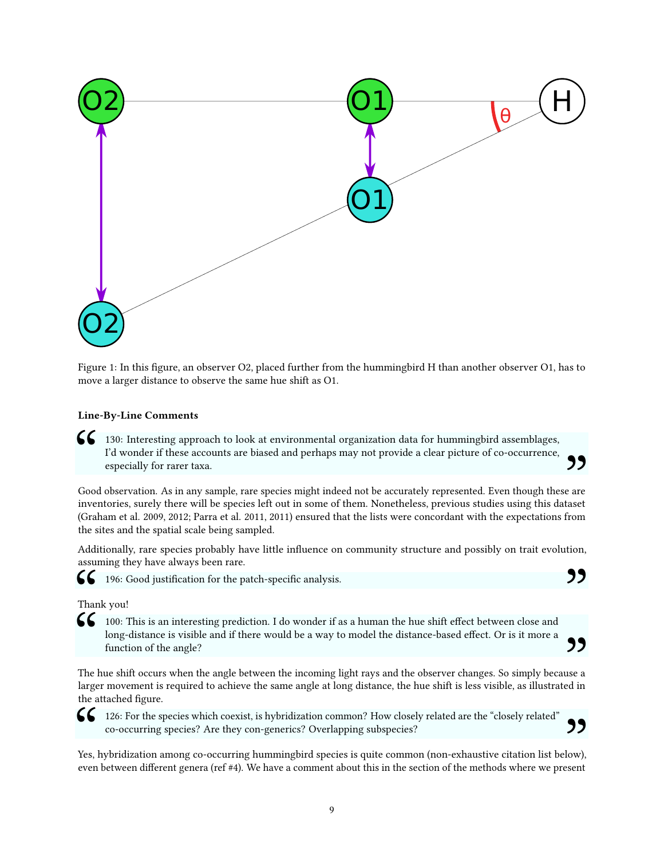

Figure 1: In this figure, an observer O2, placed further from the hummingbird H than another observer O1, has to move a larger distance to observe the same hue shift as O1.

#### <span id="page-8-0"></span>Line-By-Line Comments

130: Interesting approach to look at environmental organization data for hummingbird assemblages,<br>I'd wonder if these accounts are biased and perhaps may not provide a clear picture of co-occurrence,<br>especially for rarer t I'd wonder if these accounts are biased and perhaps may not provide a clear picture of co-occurrence, especially for rarer taxa.

Good observation. As in any sample, rare species might indeed not be accurately represented. Even though these are inventories, surely there will be species left out in some of them. Nonetheless, previous studies using this dataset (Graham et al. 2009, 2012; Parra et al. 2011, 2011) ensured that the lists were concordant with the expectations from the sites and the spatial scale being sampled.

"

,,

Additionally, rare species probably have little influence on community structure and possibly on trait evolution, assuming they have always been rare.



196: Good justification for the patch-specific analysis.

#### Thank you!

**1**00: This is an interesting prediction. I do wonder if as a human the hue shift effect between close and long-distance is visible and if there would be a way to model the distance-based effect. Or is it more a function o long-distance is visible and if there would be a way to model the distance-based effect. Or is it more a function of the angle?

The hue shift occurs when the angle between the incoming light rays and the observer changes. So simply because a larger movement is required to achieve the same angle at long distance, the hue shift is less visible, as illustrated in " the attached figure.

126: For the species which coexist, is hybridization common? How closely related are the "closely related" co-occurring species? Are they con-generics? Overlapping subspecies?

 $\mathcal{C}$ <br> $\mathcal{C}$  Yes, leven Yes, hybridization among co-occurring hummingbird species is quite common (non-exhaustive citation list below), even between different genera (ref #4). We have a comment about this in the section of the methods where we present "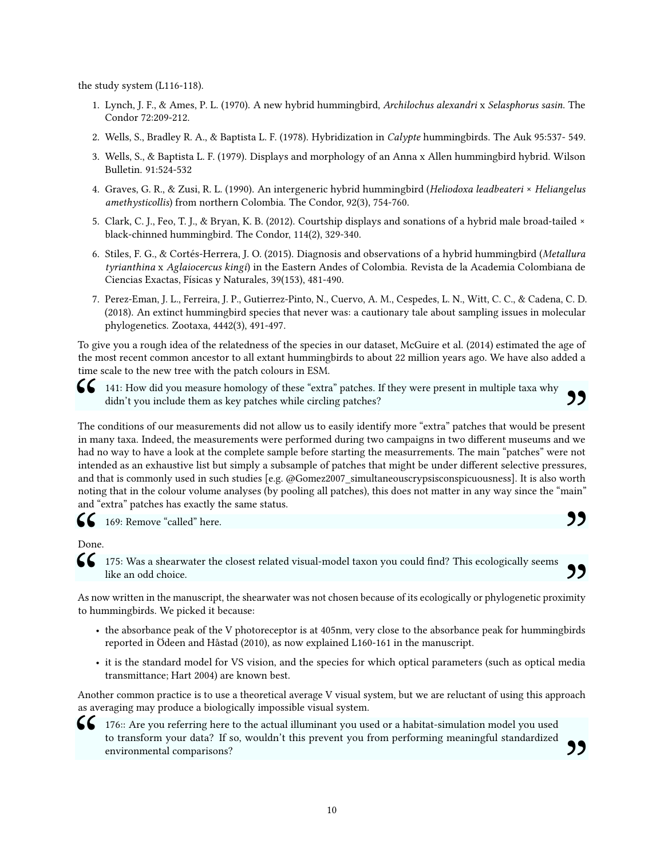the study system (L116-118).

- 1. Lynch, J. F., & Ames, P. L. (1970). A new hybrid hummingbird, Archilochus alexandri x Selasphorus sasin. The Condor 72:209-212.
- 2. Wells, S., Bradley R. A., & Baptista L. F. (1978). Hybridization in Calypte hummingbirds. The Auk 95:537- 549.
- 3. Wells, S., & Baptista L. F. (1979). Displays and morphology of an Anna x Allen hummingbird hybrid. Wilson Bulletin. 91:524-532
- 4. Graves, G. R., & Zusi, R. L. (1990). An intergeneric hybrid hummingbird (Heliodoxa leadbeateri × Heliangelus amethysticollis) from northern Colombia. The Condor, 92(3), 754-760.
- 5. Clark, C. J., Feo, T. J., & Bryan, K. B. (2012). Courtship displays and sonations of a hybrid male broad-tailed × black-chinned hummingbird. The Condor, 114(2), 329-340.
- 6. Stiles, F. G., & Cortés-Herrera, J. O. (2015). Diagnosis and observations of a hybrid hummingbird (Metallura tyrianthina x Aglaiocercus kingi) in the Eastern Andes of Colombia. Revista de la Academia Colombiana de Ciencias Exactas, Físicas y Naturales, 39(153), 481-490.
- 7. Perez-Eman, J. L., Ferreira, J. P., Gutierrez-Pinto, N., Cuervo, A. M., Cespedes, L. N., Witt, C. C., & Cadena, C. D. (2018). An extinct hummingbird species that never was: a cautionary tale about sampling issues in molecular phylogenetics. Zootaxa, 4442(3), 491-497.

To give you a rough idea of the relatedness of the species in our dataset, McGuire et al. (2014) estimated the age of the most recent common ancestor to all extant hummingbirds to about 22 million years ago. We have also added a time scale to the new tree with the patch colours in ESM.



141: How did you measure homology of these "extra" patches. If they were present in multiple taxa why didn't you include them as key patches while circling patches?

141: How did you measure homology of these "extra" patches. If they were present in multiple taxa why<br>didn't you include them as key patches while circling patches?<br>The conditions of our measurements did not allow us to ea The conditions of our measurements did not allow us to easily identify more "extra" patches that would be present had no way to have a look at the complete sample before starting the measurrements. The main "patches" were not intended as an exhaustive list but simply a subsample of patches that might be under different selective pressures, and that is commonly used in such studies [e.g. @Gomez2007\_simultaneouscrypsisconspicuousness]. It is also worth noting that in the colour volume analyses (by pooling all patches), this does not matter in any way since the "main" and "extra" patches has exactly the same status.

,,

"

169: Remove "called" here.

CC<br>Done<br>CC Done.

like an odd choice.

**66** 175: Was a shearwater the closest related visual-model taxon you could find? This ecologically seems like an odd choice.<br>As now written in the manuscript, the shearwater was not chosen because of its ecologically or p As now written in the manuscript, the shearwater was not chosen because of its ecologically or phylogenetic proximity to hummingbirds. We picked it because:

- the absorbance peak of the V photoreceptor is at 405nm, very close to the absorbance peak for hummingbirds reported in Ödeen and Håstad (2010), as now explained L160-161 in the manuscript.
- it is the standard model for VS vision, and the species for which optical parameters (such as optical media transmittance; Hart 2004) are known best.

Another common practice is to use a theoretical average V visual system, but we are reluctant of using this approach as averaging may produce a biologically impossible visual system.



**176::** Are you referring here to the actual illuminant you used or a habitat-simulation model you used to transform your data? If so, wouldn't this prevent you from performing meaningful standardized environmental compari to transform your data? If so, wouldn't this prevent you from performing meaningful standardized environmental comparisons?<br>
Senvironmental comparisons?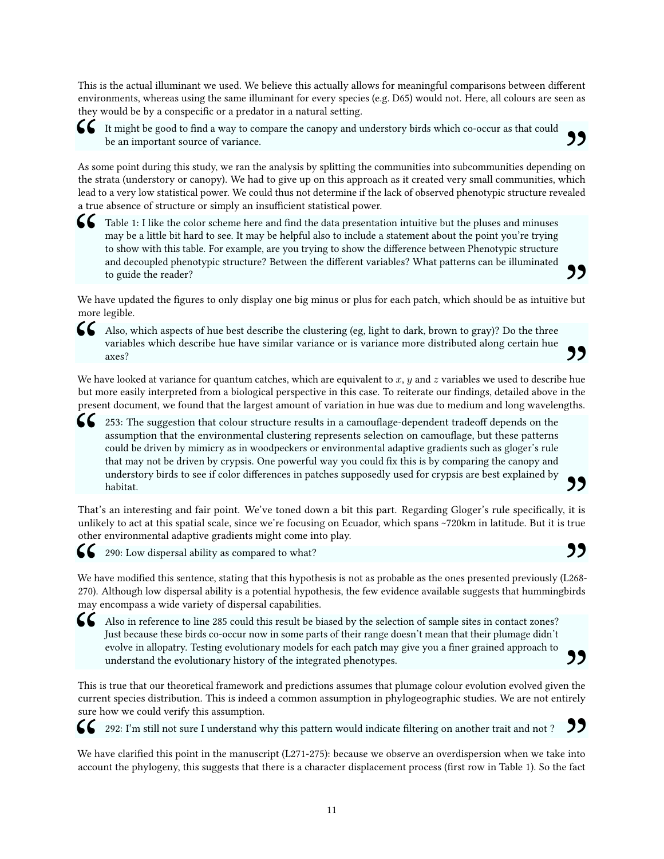This is the actual illuminant we used. We believe this actually allows for meaningful comparisons between different environments, whereas using the same illuminant for every species (e.g. D65) would not. Here, all colours are seen as they would be by a conspecific or a predator in a natural setting.

It might be good to find a way to compare the canopy and understory birds which co-occur as that could<br>be an important source of variance.<br>As some point during this study, we ran the analysis by splitting the communities i be an important source of variance.

As some point during this study, we ran the analysis by splitting the communities into subcommunities depending on the strata (understory or canopy). We had to give up on this approach as it created very small communities, which  $\frac{99}{(200 \text{ m/s})^2}$ lead to a very low statistical power. We could thus not determine if the lack of observed phenotypic structure revealed a true absence of structure or simply an insufficient statistical power.

Table 1: I like the color scheme here and find the data presentation intuitive but the pluses and minuses may be a little bit hard to see. It may be helpful also to include a statement about the point you're trying to show may be a little bit hard to see. It may be helpful also to include a statement about the point you're trying to show with this table. For example, are you trying to show the difference between Phenotypic structure and decoupled phenotypic structure? Between the different variables? What patterns can be illuminated to guide the reader?

We have updated the figures to only display one big minus or plus for each patch, which should be as intuitive but more legible.  $"$ 

G Also, which aspects of hue best describe the clustering (eg, light to dark, brown to gray)? Do the three variables which describe hue have similar variance or is variance more distributed along certain hue axes?<br>We have Also, which aspects of hue best describe the clustering (eg, light to dark, brown to gray)? Do the three variables which describe hue have similar variance or is variance more distributed along certain hue axes?

but more easily interpreted from a biological perspective in this case. To reiterate our findings, detailed above in the  $\sum_{\text{e hue}}$ <br>a the gths. present document, we found that the largest amount of variation in hue was due to medium and long wavelengths.

253: The suggestion that colour structure results in a camouflage-dependent tradeoff depends on the assumption that the environmental clustering represents selection on camouflage, but these patterns could be driven by mimicry as in woodpeckers or environmental adaptive gradients such as gloger's rule that may not be driven by crypsis. One powerful way you could fix this is by comparing the canopy and understory birds to see if color differences in patches supposedly used for crypsis are best explained by habitat.

,,

That's an interesting and fair point. We've toned down a bit this part. Regarding Gloger's rule specifically, it is unlikely to act at this spatial scale, since we're focusing on Ecuador, which spans ~720km in latitude. But it is true other environmental adaptive gradients might come into play.



 $\epsilon$ 

 $\zeta$ 

290: Low dispersal ability as compared to what?

 $\begin{array}{c} \mathsf{SC} \\ \mathsf{We} \text{ } \mathsf{h} \\ 270 \text{).} \\ \mathsf{may} \end{array}$ We have modified this sentence, stating that this hypothesis is not as probable as the ones presented previously (L268-290: Low dispersal ability as compared to what?<br>We have modified this sentence, stating that this hypothesis is not as probable as the ones presented previously (L268-<br>270). Although low dispersal ability is a potential hy may encompass a wide variety of dispersal capabilities.

Also in reference to line 285 could this result be biased by the selection of sample sites in contact zones? Just because these birds co-occur now in some parts of their range doesn't mean that their plumage didn't evolve in allopatry. Testing evolutionary models for each patch may give you a finer grained approach to understand the evolutionary history of the integrated phenotypes. 99

This is true that our theoretical framework and predictions assumes that plumage colour evolution evolved given the current species distribution. This is indeed a common assumption in phylogeographic studies. We are not entirely sure how we could verify this assumption.

292: I'm still not sure I understand why this pattern would indicate filtering on another trait and not ?

 $\begin{array}{c} \mathsf{cc} \\ \mathsf{We} \ \mathsf{h} \\ \mathsf{acco} \end{array}$ We have clarified this point in the manuscript (L271-275): because we observe an overdispersion when we take into account the phylogeny, this suggests that there is a character displacement process (first row in Table 1). So the fact  $99$  into  $e$  fact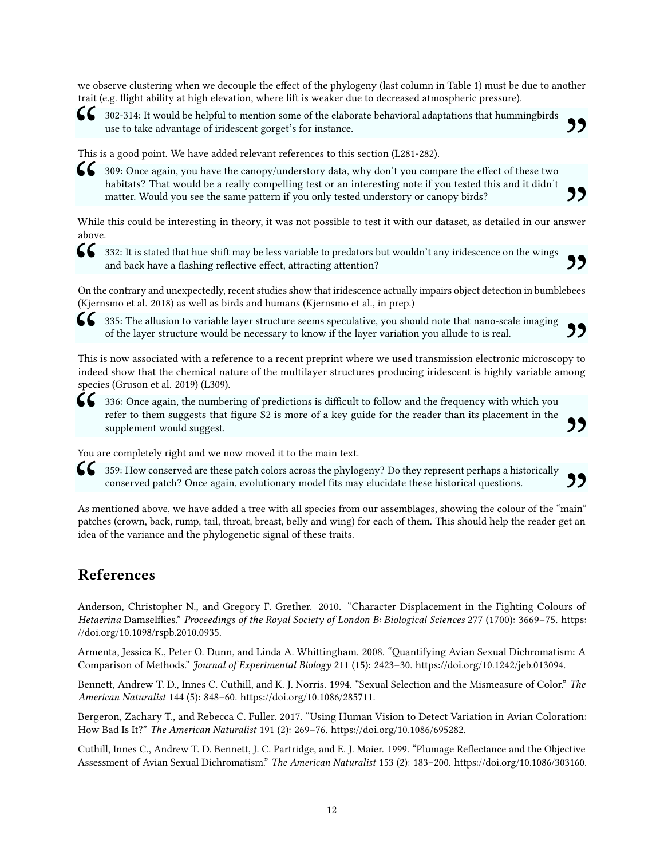we observe clustering when we decouple the effect of the phylogeny (last column in Table 1) must be due to another trait (e.g. flight ability at high elevation, where lift is weaker due to decreased atmospheric pressure).



 $\bullet$  302-314: It would be helpful to mention some of the elaborate behavioral adaptations that hummingbirds<br>use to take advantage of iridescent gorget's for instance.<br>This is a good point. We have added relevant reference use to take advantage of iridescent gorget's for instance.

"

99<br>99

This is a good point. We have added relevant references to this section (L281-282).

Solution 309: Once again, you have the canopy/understory data, why don't you compare the effect of these two habitats? That would be a really compelling test or an interesting note if you tested this and it didn't matter. habitats? That would be a really compelling test or an interesting note if you tested this and it didn't matter. Would you see the same pattern if you only tested understory or canopy birds?

While this could be interesting in theory, it was not possible to test it with our dataset, as detailed in our answer above.  $"$ <br> $"$ <br> $"$ <br> $"$ <br> $"$ 

532: It is stated that hue shift may be less variable to predators but wouldn't any iridescence on the wings and back have a flashing reflective effect, attracting attention?<br>On the contrary and unexpectedly, recent studie and back have a flashing reflective effect, attracting attention?

(Kjernsmo et al. 2018) as well as birds and humans (Kjernsmo et al., in prep.) On the contrary and unexpectedly, recent studies show that iridescence actually impairs object detection in bumblebees **99**<br>bees

335: The allusion to variable layer structure seems speculative, you should note that nano-scale imaging of the layer structure would be necessary to know if the layer variation you allude to is real.

CC<br>This<br>inde This is now associated with a reference to a recent preprint where we used transmission electronic microscopy to indeed show that the chemical nature of the multilayer structures producing iridescent is highly variable among  $99$  by to nong species (Gruson et al. 2019) (L309).

**66** 336: Once again, the numbering of predictions is difficult to follow and the frequency with which you refer to them suggests that figure S2 is more of a key guide for the reader than its placement in the supplement wo refer to them suggests that figure S2 is more of a key guide for the reader than its placement in the supplement would suggest.

You are completely right and we now moved it to the main text.

SUSE 359: How conserved are these patch colors across the phylogeny? Do they represent perhaps a historically conserved patch? Once again, evolutionary model fits may elucidate these historical questions.<br>As mentioned abov conserved patch? Once again, evolutionary model fits may elucidate these historical questions.

As mentioned above, we have added a tree with all species from our assemblages, showing the colour of the "main" patches (crown, back, rump, tail, throat, breast, belly and wing) for each of them. This should help the reader get an  $99$  main" et an idea of the variance and the phylogenetic signal of these traits.

# <span id="page-11-0"></span>References

Anderson, Christopher N., and Gregory F. Grether. 2010. "Character Displacement in the Fighting Colours of Hetaerina Damselflies." Proceedings of the Royal Society of London B: Biological Sciences 277 (1700): 3669-75. [https:](https://doi.org/10.1098/rspb.2010.0935) [//doi.org/10.1098/rspb.2010.0935.](https://doi.org/10.1098/rspb.2010.0935)

Armenta, Jessica K., Peter O. Dunn, and Linda A. Whittingham. 2008. "Quantifying Avian Sexual Dichromatism: A Comparison of Methods." Journal of Experimental Biology 211 (15): 2423–30. [https://doi.org/10.1242/jeb.013094.](https://doi.org/10.1242/jeb.013094)

Bennett, Andrew T. D., Innes C. Cuthill, and K. J. Norris. 1994. "Sexual Selection and the Mismeasure of Color." The American Naturalist 144 (5): 848–60. [https://doi.org/10.1086/285711.](https://doi.org/10.1086/285711)

Bergeron, Zachary T., and Rebecca C. Fuller. 2017. "Using Human Vision to Detect Variation in Avian Coloration: How Bad Is It?" The American Naturalist 191 (2): 269–76. [https://doi.org/10.1086/695282.](https://doi.org/10.1086/695282)

Cuthill, Innes C., Andrew T. D. Bennett, J. C. Partridge, and E. J. Maier. 1999. "Plumage Reflectance and the Objective Assessment of Avian Sexual Dichromatism." The American Naturalist 153 (2): 183–200. [https://doi.org/10.1086/303160.](https://doi.org/10.1086/303160)